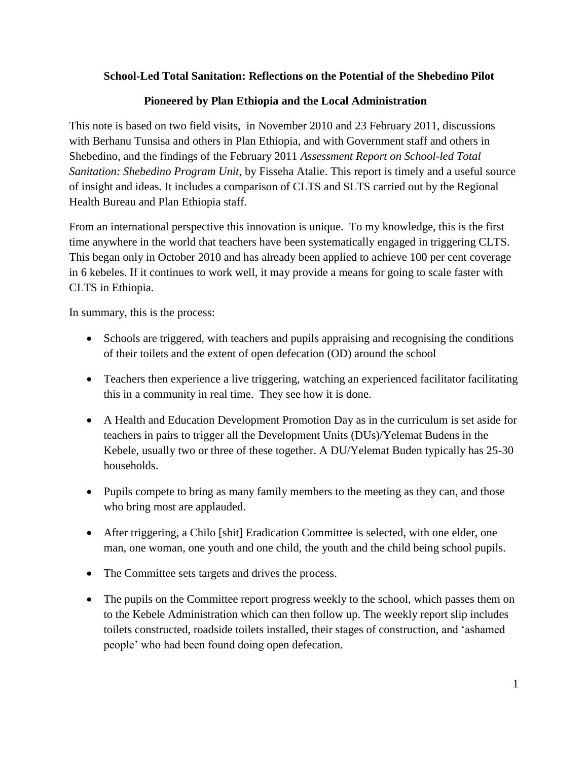## **School-Led Total Sanitation: Reflections on the Potential of the Shebedino Pilot**

## **Pioneered by Plan Ethiopia and the Local Administration**

This note is based on two field visits, in November 2010 and 23 February 2011, discussions with Berhanu Tunsisa and others in Plan Ethiopia, and with Government staff and others in Shebedino, and the findings of the February 2011 *Assessment Report on School-led Total Sanitation: Shebedino Program Unit*, by Fisseha Atalie. This report is timely and a useful source of insight and ideas. It includes a comparison of CLTS and SLTS carried out by the Regional Health Bureau and Plan Ethiopia staff.

From an international perspective this innovation is unique. To my knowledge, this is the first time anywhere in the world that teachers have been systematically engaged in triggering CLTS. This began only in October 2010 and has already been applied to achieve 100 per cent coverage in 6 kebeles. If it continues to work well, it may provide a means for going to scale faster with CLTS in Ethiopia.

In summary, this is the process:

- Schools are triggered, with teachers and pupils appraising and recognising the conditions of their toilets and the extent of open defecation (OD) around the school
- Teachers then experience a live triggering, watching an experienced facilitator facilitating this in a community in real time. They see how it is done.
- A Health and Education Development Promotion Day as in the curriculum is set aside for teachers in pairs to trigger all the Development Units (DUs)/Yelemat Budens in the Kebele, usually two or three of these together. A DU/Yelemat Buden typically has 25-30 households.
- Pupils compete to bring as many family members to the meeting as they can, and those who bring most are applauded.
- After triggering, a Chilo [shit] Eradication Committee is selected, with one elder, one man, one woman, one youth and one child, the youth and the child being school pupils.
- The Committee sets targets and drives the process.
- The pupils on the Committee report progress weekly to the school, which passes them on to the Kebele Administration which can then follow up. The weekly report slip includes toilets constructed, roadside toilets installed, their stages of construction, and 'ashamed people' who had been found doing open defecation.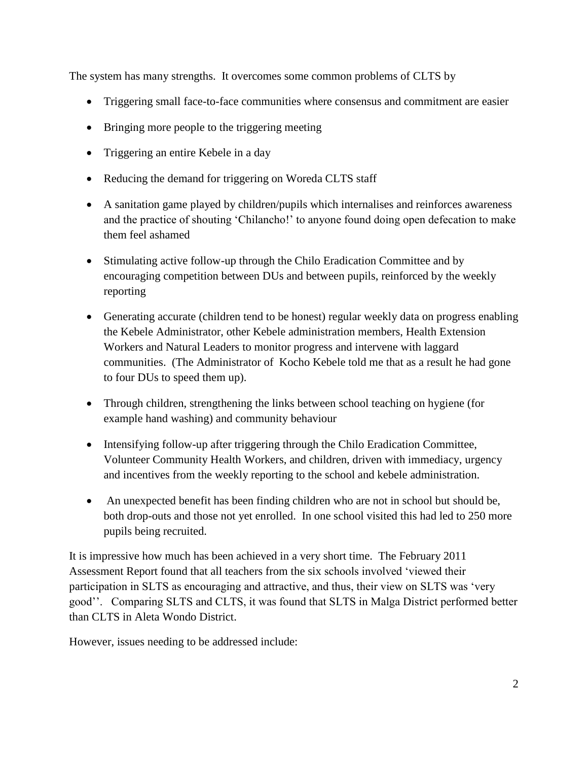The system has many strengths. It overcomes some common problems of CLTS by

- Triggering small face-to-face communities where consensus and commitment are easier
- Bringing more people to the triggering meeting
- Triggering an entire Kebele in a day
- Reducing the demand for triggering on Woreda CLTS staff
- A sanitation game played by children/pupils which internalises and reinforces awareness and the practice of shouting 'Chilancho!' to anyone found doing open defecation to make them feel ashamed
- Stimulating active follow-up through the Chilo Eradication Committee and by encouraging competition between DUs and between pupils, reinforced by the weekly reporting
- Generating accurate (children tend to be honest) regular weekly data on progress enabling the Kebele Administrator, other Kebele administration members, Health Extension Workers and Natural Leaders to monitor progress and intervene with laggard communities. (The Administrator of Kocho Kebele told me that as a result he had gone to four DUs to speed them up).
- Through children, strengthening the links between school teaching on hygiene (for example hand washing) and community behaviour
- Intensifying follow-up after triggering through the Chilo Eradication Committee, Volunteer Community Health Workers, and children, driven with immediacy, urgency and incentives from the weekly reporting to the school and kebele administration.
- An unexpected benefit has been finding children who are not in school but should be, both drop-outs and those not yet enrolled. In one school visited this had led to 250 more pupils being recruited.

It is impressive how much has been achieved in a very short time. The February 2011 Assessment Report found that all teachers from the six schools involved 'viewed their participation in SLTS as encouraging and attractive, and thus, their view on SLTS was 'very good''. Comparing SLTS and CLTS, it was found that SLTS in Malga District performed better than CLTS in Aleta Wondo District.

However, issues needing to be addressed include: